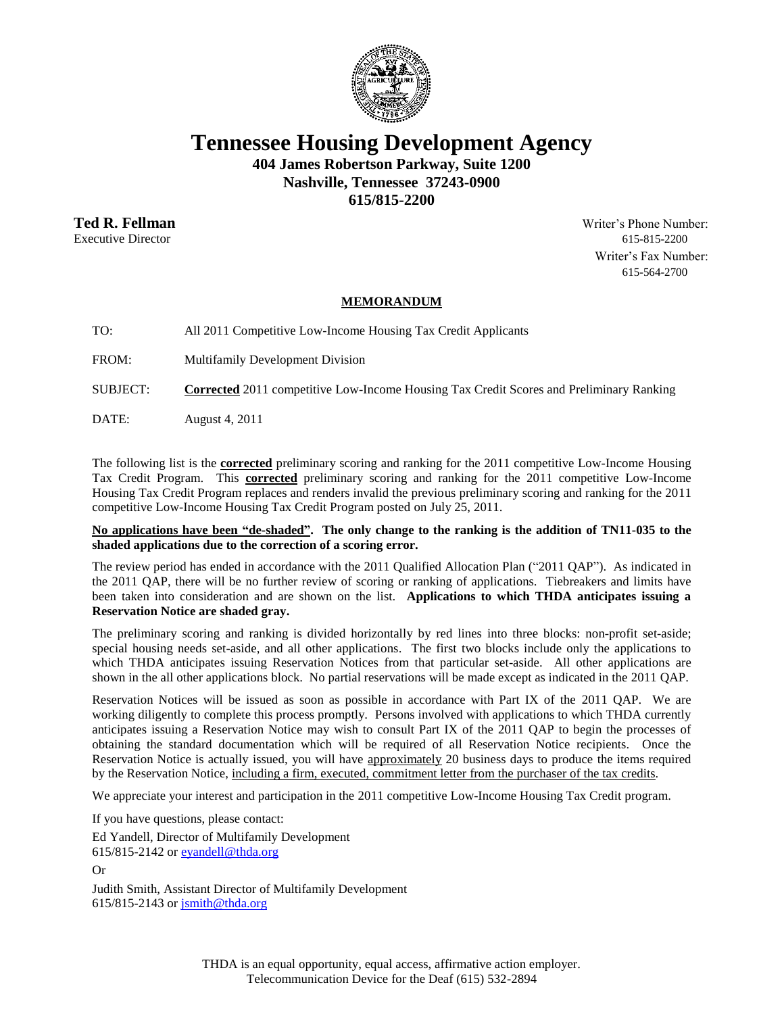

**Tennessee Housing Development Agency**

**404 James Robertson Parkway, Suite 1200 Nashville, Tennessee 37243-0900**

**615/815-2200**

**Ted R. Fellman** Writer's Phone Number: Executive Director 615-815-2200 Writer's Fax Number: 615-564-2700

## **MEMORANDUM**

TO: All 2011 Competitive Low-Income Housing Tax Credit Applicants

FROM: Multifamily Development Division

SUBJECT: **Corrected** 2011 competitive Low-Income Housing Tax Credit Scores and Preliminary Ranking

DATE: August 4, 2011

The following list is the **corrected** preliminary scoring and ranking for the 2011 competitive Low-Income Housing Tax Credit Program. This **corrected** preliminary scoring and ranking for the 2011 competitive Low-Income Housing Tax Credit Program replaces and renders invalid the previous preliminary scoring and ranking for the 2011 competitive Low-Income Housing Tax Credit Program posted on July 25, 2011.

**No applications have been "de-shaded". The only change to the ranking is the addition of TN11-035 to the shaded applications due to the correction of a scoring error.**

The review period has ended in accordance with the 2011 Qualified Allocation Plan ("2011 QAP"). As indicated in the 2011 QAP, there will be no further review of scoring or ranking of applications. Tiebreakers and limits have been taken into consideration and are shown on the list. **Applications to which THDA anticipates issuing a Reservation Notice are shaded gray.**

The preliminary scoring and ranking is divided horizontally by red lines into three blocks: non-profit set-aside; special housing needs set-aside, and all other applications. The first two blocks include only the applications to which THDA anticipates issuing Reservation Notices from that particular set-aside. All other applications are shown in the all other applications block. No partial reservations will be made except as indicated in the 2011 QAP.

Reservation Notices will be issued as soon as possible in accordance with Part IX of the 2011 QAP. We are working diligently to complete this process promptly. Persons involved with applications to which THDA currently anticipates issuing a Reservation Notice may wish to consult Part IX of the 2011 QAP to begin the processes of obtaining the standard documentation which will be required of all Reservation Notice recipients. Once the Reservation Notice is actually issued, you will have approximately 20 business days to produce the items required by the Reservation Notice, including a firm, executed, commitment letter from the purchaser of the tax credits.

We appreciate your interest and participation in the 2011 competitive Low-Income Housing Tax Credit program.

If you have questions, please contact: Ed Yandell, Director of Multifamily Development 615/815-2142 o[r eyandell@thda.org](mailto:eyandell@thda.org)

Or

Judith Smith, Assistant Director of Multifamily Development  $615/815-2143$  or  $\overline{\text{simith}\omega\text{thda.org}}$